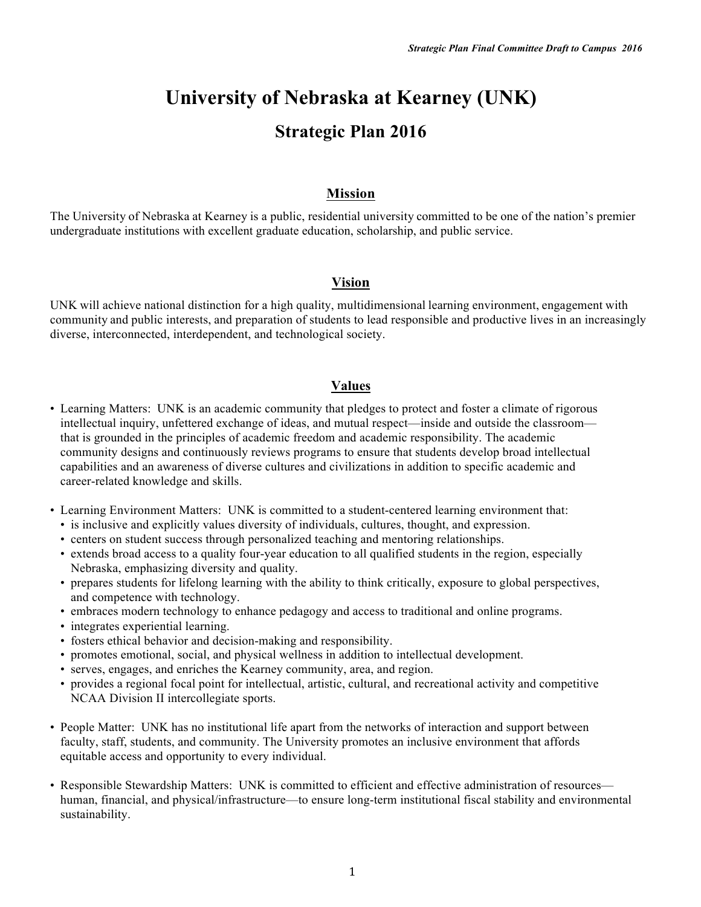# **University of Nebraska at Kearney (UNK) Strategic Plan 2016**

# **Mission**

The University of Nebraska at Kearney is a public, residential university committed to be one of the nation's premier undergraduate institutions with excellent graduate education, scholarship, and public service.

# **Vision**

UNK will achieve national distinction for a high quality, multidimensional learning environment, engagement with community and public interests, and preparation of students to lead responsible and productive lives in an increasingly diverse, interconnected, interdependent, and technological society.

# **Values**

- Learning Matters: UNK is an academic community that pledges to protect and foster a climate of rigorous intellectual inquiry, unfettered exchange of ideas, and mutual respect—inside and outside the classroom that is grounded in the principles of academic freedom and academic responsibility. The academic community designs and continuously reviews programs to ensure that students develop broad intellectual capabilities and an awareness of diverse cultures and civilizations in addition to specific academic and career-related knowledge and skills.
- Learning Environment Matters: UNK is committed to a student-centered learning environment that:
	- is inclusive and explicitly values diversity of individuals, cultures, thought, and expression.
	- centers on student success through personalized teaching and mentoring relationships.
	- extends broad access to a quality four-year education to all qualified students in the region, especially Nebraska, emphasizing diversity and quality.
	- prepares students for lifelong learning with the ability to think critically, exposure to global perspectives, and competence with technology.
	- embraces modern technology to enhance pedagogy and access to traditional and online programs.
	- integrates experiential learning.
	- fosters ethical behavior and decision-making and responsibility.
	- promotes emotional, social, and physical wellness in addition to intellectual development.
	- serves, engages, and enriches the Kearney community, area, and region.
	- provides a regional focal point for intellectual, artistic, cultural, and recreational activity and competitive NCAA Division II intercollegiate sports.
- People Matter: UNK has no institutional life apart from the networks of interaction and support between faculty, staff, students, and community. The University promotes an inclusive environment that affords equitable access and opportunity to every individual.
- Responsible Stewardship Matters: UNK is committed to efficient and effective administration of resources human, financial, and physical/infrastructure—to ensure long-term institutional fiscal stability and environmental sustainability.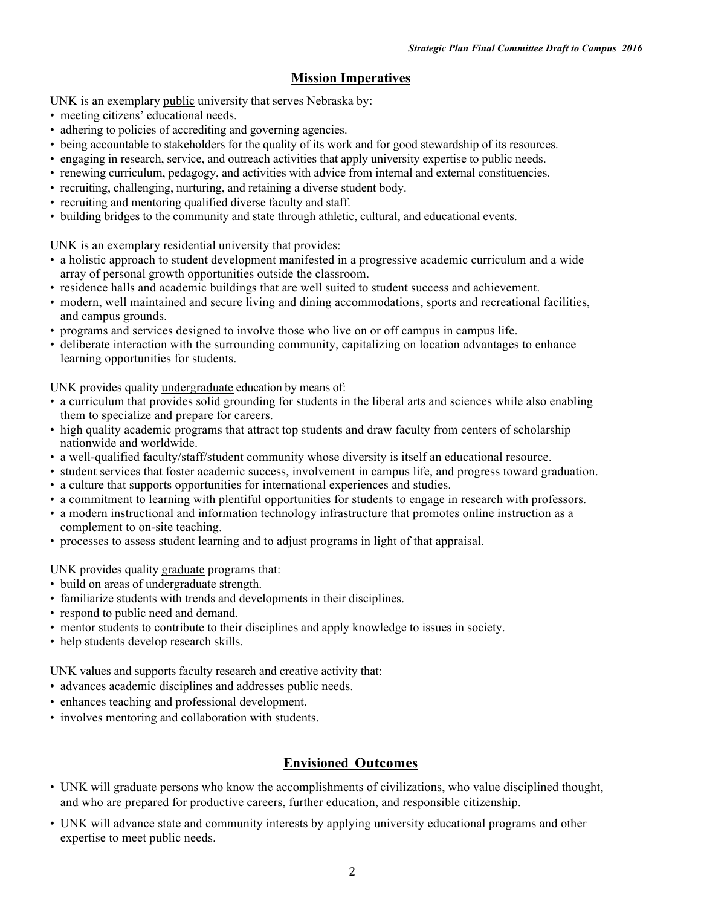# **Mission Imperatives**

UNK is an exemplary public university that serves Nebraska by:

- meeting citizens' educational needs.
- adhering to policies of accrediting and governing agencies.
- being accountable to stakeholders for the quality of its work and for good stewardship of its resources.
- engaging in research, service, and outreach activities that apply university expertise to public needs.
- renewing curriculum, pedagogy, and activities with advice from internal and external constituencies.
- recruiting, challenging, nurturing, and retaining a diverse student body.
- recruiting and mentoring qualified diverse faculty and staff.
- building bridges to the community and state through athletic, cultural, and educational events.

UNK is an exemplary residential university that provides:

- a holistic approach to student development manifested in a progressive academic curriculum and a wide array of personal growth opportunities outside the classroom.
- residence halls and academic buildings that are well suited to student success and achievement.
- modern, well maintained and secure living and dining accommodations, sports and recreational facilities, and campus grounds.
- programs and services designed to involve those who live on or off campus in campus life.
- deliberate interaction with the surrounding community, capitalizing on location advantages to enhance learning opportunities for students.

UNK provides quality undergraduate education by means of:

- a curriculum that provides solid grounding for students in the liberal arts and sciences while also enabling them to specialize and prepare for careers.
- high quality academic programs that attract top students and draw faculty from centers of scholarship nationwide and worldwide.
- a well-qualified faculty/staff/student community whose diversity is itself an educational resource.
- student services that foster academic success, involvement in campus life, and progress toward graduation.
- a culture that supports opportunities for international experiences and studies.
- a commitment to learning with plentiful opportunities for students to engage in research with professors.
- a modern instructional and information technology infrastructure that promotes online instruction as a complement to on-site teaching.
- processes to assess student learning and to adjust programs in light of that appraisal.

UNK provides quality graduate programs that:

- build on areas of undergraduate strength.
- familiarize students with trends and developments in their disciplines.
- respond to public need and demand.
- mentor students to contribute to their disciplines and apply knowledge to issues in society.
- help students develop research skills.

UNK values and supports faculty research and creative activity that:

- advances academic disciplines and addresses public needs.
- enhances teaching and professional development.
- involves mentoring and collaboration with students.

# **Envisioned Outcomes**

- UNK will graduate persons who know the accomplishments of civilizations, who value disciplined thought, and who are prepared for productive careers, further education, and responsible citizenship.
- UNK will advance state and community interests by applying university educational programs and other expertise to meet public needs.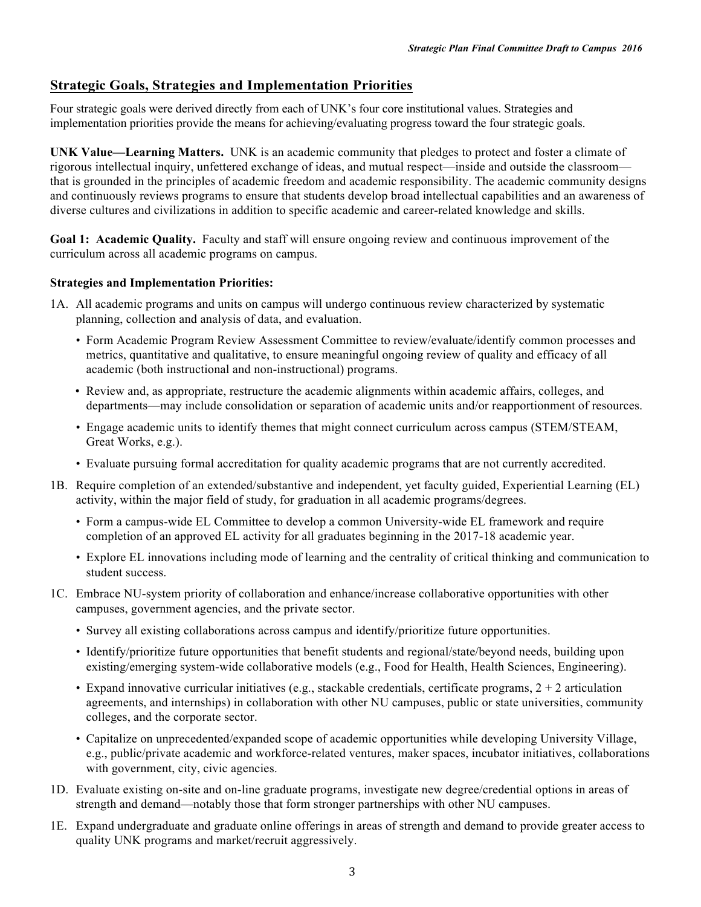# **Strategic Goals, Strategies and Implementation Priorities**

Four strategic goals were derived directly from each of UNK's four core institutional values. Strategies and implementation priorities provide the means for achieving/evaluating progress toward the four strategic goals.

**UNK Value—Learning Matters.** UNK is an academic community that pledges to protect and foster a climate of rigorous intellectual inquiry, unfettered exchange of ideas, and mutual respect—inside and outside the classroom that is grounded in the principles of academic freedom and academic responsibility. The academic community designs and continuously reviews programs to ensure that students develop broad intellectual capabilities and an awareness of diverse cultures and civilizations in addition to specific academic and career-related knowledge and skills.

**Goal 1: Academic Quality.** Faculty and staff will ensure ongoing review and continuous improvement of the curriculum across all academic programs on campus.

# **Strategies and Implementation Priorities:**

- 1A. All academic programs and units on campus will undergo continuous review characterized by systematic planning, collection and analysis of data, and evaluation.
	- Form Academic Program Review Assessment Committee to review/evaluate/identify common processes and metrics, quantitative and qualitative, to ensure meaningful ongoing review of quality and efficacy of all academic (both instructional and non-instructional) programs.
	- Review and, as appropriate, restructure the academic alignments within academic affairs, colleges, and departments—may include consolidation or separation of academic units and/or reapportionment of resources.
	- Engage academic units to identify themes that might connect curriculum across campus (STEM/STEAM, Great Works, e.g.).
	- Evaluate pursuing formal accreditation for quality academic programs that are not currently accredited.
- 1B. Require completion of an extended/substantive and independent, yet faculty guided, Experiential Learning (EL) activity, within the major field of study, for graduation in all academic programs/degrees.
	- Form a campus-wide EL Committee to develop a common University-wide EL framework and require completion of an approved EL activity for all graduates beginning in the 2017-18 academic year.
	- Explore EL innovations including mode of learning and the centrality of critical thinking and communication to student success.
- 1C. Embrace NU-system priority of collaboration and enhance/increase collaborative opportunities with other campuses, government agencies, and the private sector.
	- Survey all existing collaborations across campus and identify/prioritize future opportunities.
	- Identify/prioritize future opportunities that benefit students and regional/state/beyond needs, building upon existing/emerging system-wide collaborative models (e.g., Food for Health, Health Sciences, Engineering).
	- Expand innovative curricular initiatives (e.g., stackable credentials, certificate programs,  $2 + 2$  articulation agreements, and internships) in collaboration with other NU campuses, public or state universities, community colleges, and the corporate sector.
	- Capitalize on unprecedented/expanded scope of academic opportunities while developing University Village, e.g., public/private academic and workforce-related ventures, maker spaces, incubator initiatives, collaborations with government, city, civic agencies.
- 1D. Evaluate existing on-site and on-line graduate programs, investigate new degree/credential options in areas of strength and demand—notably those that form stronger partnerships with other NU campuses.
- 1E. Expand undergraduate and graduate online offerings in areas of strength and demand to provide greater access to quality UNK programs and market/recruit aggressively.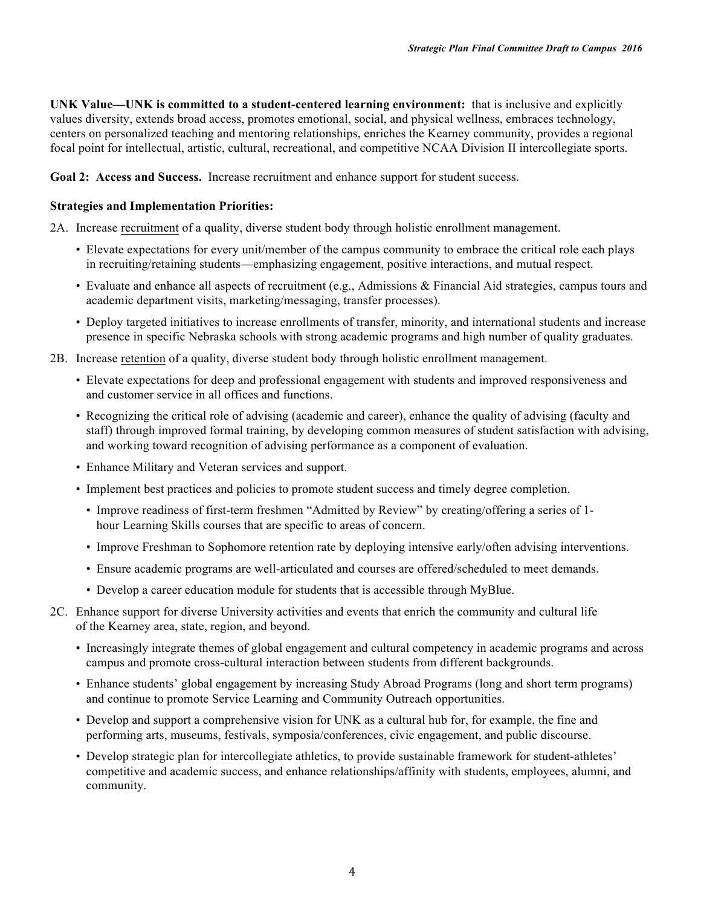**UNK Value—UNK is committed to a student-centered learning environment:** that is inclusive and explicitly values diversity, extends broad access, promotes emotional, social, and physical wellness, embraces technology, centers on personalized teaching and mentoring relationships, enriches the Kearney community, provides a regional focal point for intellectual, artistic, cultural, recreational, and competitive NCAA Division II intercollegiate sports.

**Goal 2: Access and Success.** Increase recruitment and enhance support for student success.

#### **Strategies and Implementation Priorities:**

2A. Increase recruitment of a quality, diverse student body through holistic enrollment management.

- Elevate expectations for every unit/member of the campus community to embrace the critical role each plays in recruiting/retaining students—emphasizing engagement, positive interactions, and mutual respect.
- Evaluate and enhance all aspects of recruitment (e.g., Admissions & Financial Aid strategies, campus tours and academic department visits, marketing/messaging, transfer processes).
- Deploy targeted initiatives to increase enrollments of transfer, minority, and international students and increase presence in specific Nebraska schools with strong academic programs and high number of quality graduates.
- 2B. Increase retention of a quality, diverse student body through holistic enrollment management.
	- Elevate expectations for deep and professional engagement with students and improved responsiveness and and customer service in all offices and functions.
	- Recognizing the critical role of advising (academic and career), enhance the quality of advising (faculty and staff) through improved formal training, by developing common measures of student satisfaction with advising, and working toward recognition of advising performance as a component of evaluation.
	- Enhance Military and Veteran services and support.
	- Implement best practices and policies to promote student success and timely degree completion.
		- Improve readiness of first-term freshmen "Admitted by Review" by creating/offering a series of 1 hour Learning Skills courses that are specific to areas of concern.
		- Improve Freshman to Sophomore retention rate by deploying intensive early/often advising interventions.
		- Ensure academic programs are well-articulated and courses are offered/scheduled to meet demands.
		- Develop a career education module for students that is accessible through MyBlue.
- 2C. Enhance support for diverse University activities and events that enrich the community and cultural life of the Kearney area, state, region, and beyond.
	- Increasingly integrate themes of global engagement and cultural competency in academic programs and across campus and promote cross-cultural interaction between students from different backgrounds.
	- Enhance students' global engagement by increasing Study Abroad Programs (long and short term programs) and continue to promote Service Learning and Community Outreach opportunities.
	- Develop and support a comprehensive vision for UNK as a cultural hub for, for example, the fine and performing arts, museums, festivals, symposia/conferences, civic engagement, and public discourse.
	- Develop strategic plan for intercollegiate athletics, to provide sustainable framework for student-athletes' competitive and academic success, and enhance relationships/affinity with students, employees, alumni, and community.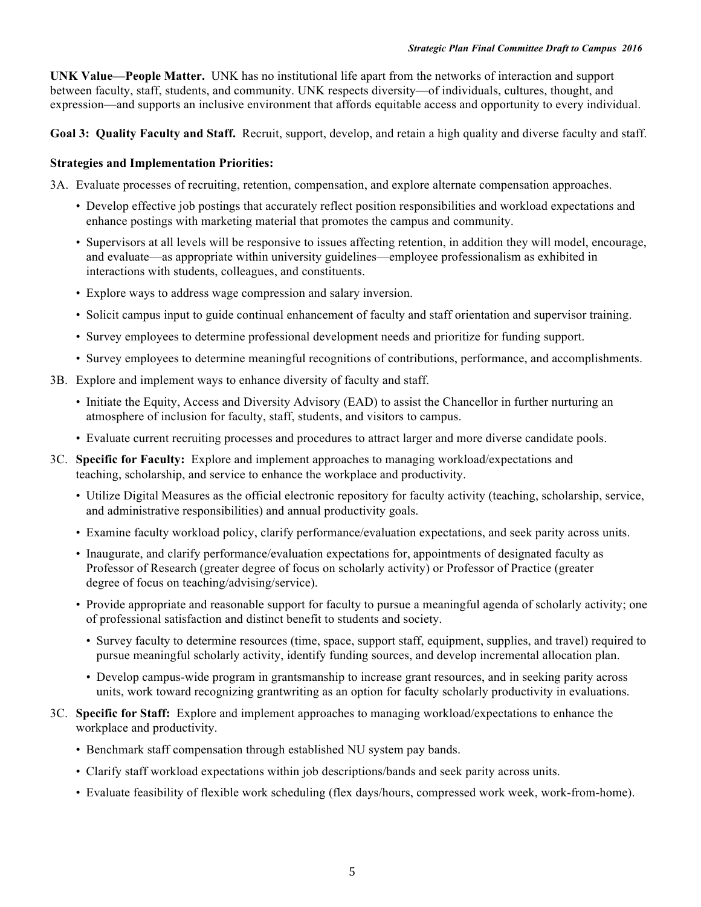**UNK Value—People Matter.** UNK has no institutional life apart from the networks of interaction and support between faculty, staff, students, and community. UNK respects diversity—of individuals, cultures, thought, and expression—and supports an inclusive environment that affords equitable access and opportunity to every individual.

**Goal 3: Quality Faculty and Staff.** Recruit, support, develop, and retain a high quality and diverse faculty and staff.

# **Strategies and Implementation Priorities:**

3A. Evaluate processes of recruiting, retention, compensation, and explore alternate compensation approaches.

- Develop effective job postings that accurately reflect position responsibilities and workload expectations and enhance postings with marketing material that promotes the campus and community.
- Supervisors at all levels will be responsive to issues affecting retention, in addition they will model, encourage, and evaluate—as appropriate within university guidelines—employee professionalism as exhibited in interactions with students, colleagues, and constituents.
- Explore ways to address wage compression and salary inversion.
- Solicit campus input to guide continual enhancement of faculty and staff orientation and supervisor training.
- Survey employees to determine professional development needs and prioritize for funding support.
- Survey employees to determine meaningful recognitions of contributions, performance, and accomplishments.
- 3B. Explore and implement ways to enhance diversity of faculty and staff.
	- Initiate the Equity, Access and Diversity Advisory (EAD) to assist the Chancellor in further nurturing an atmosphere of inclusion for faculty, staff, students, and visitors to campus.
	- Evaluate current recruiting processes and procedures to attract larger and more diverse candidate pools.
- 3C. **Specific for Faculty:** Explore and implement approaches to managing workload/expectations and teaching, scholarship, and service to enhance the workplace and productivity.
	- Utilize Digital Measures as the official electronic repository for faculty activity (teaching, scholarship, service, and administrative responsibilities) and annual productivity goals.
	- Examine faculty workload policy, clarify performance/evaluation expectations, and seek parity across units.
	- Inaugurate, and clarify performance/evaluation expectations for, appointments of designated faculty as Professor of Research (greater degree of focus on scholarly activity) or Professor of Practice (greater degree of focus on teaching/advising/service).
	- Provide appropriate and reasonable support for faculty to pursue a meaningful agenda of scholarly activity; one of professional satisfaction and distinct benefit to students and society.
		- Survey faculty to determine resources (time, space, support staff, equipment, supplies, and travel) required to pursue meaningful scholarly activity, identify funding sources, and develop incremental allocation plan.
		- Develop campus-wide program in grantsmanship to increase grant resources, and in seeking parity across units, work toward recognizing grantwriting as an option for faculty scholarly productivity in evaluations.
- 3C. **Specific for Staff:** Explore and implement approaches to managing workload/expectations to enhance the workplace and productivity.
	- Benchmark staff compensation through established NU system pay bands.
	- Clarify staff workload expectations within job descriptions/bands and seek parity across units.
	- Evaluate feasibility of flexible work scheduling (flex days/hours, compressed work week, work-from-home).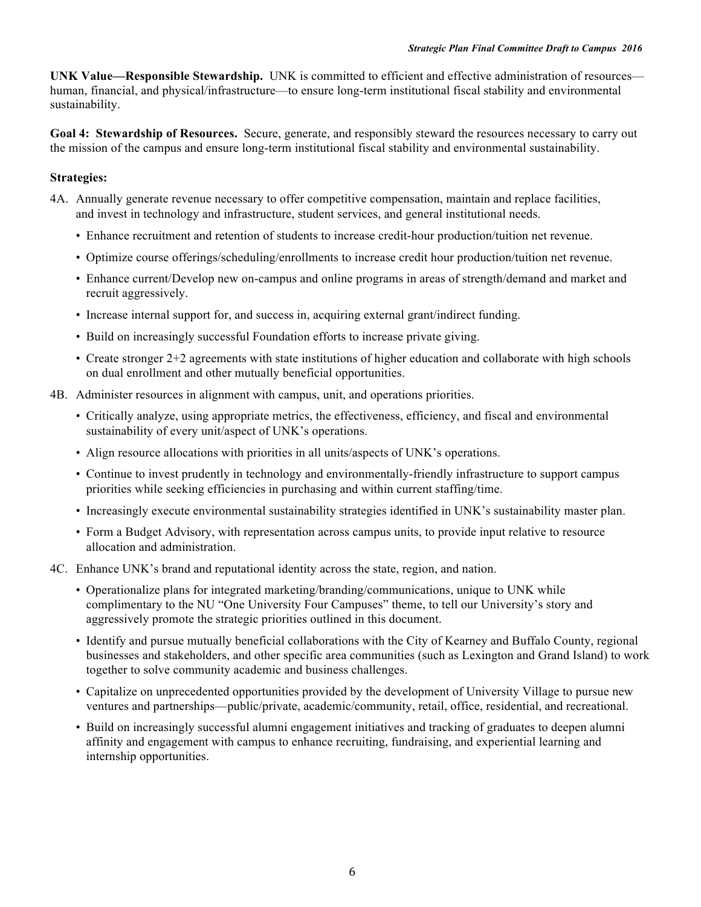**UNK Value—Responsible Stewardship.** UNK is committed to efficient and effective administration of resources human, financial, and physical/infrastructure—to ensure long-term institutional fiscal stability and environmental sustainability.

**Goal 4: Stewardship of Resources.** Secure, generate, and responsibly steward the resources necessary to carry out the mission of the campus and ensure long-term institutional fiscal stability and environmental sustainability.

# **Strategies:**

- 4A. Annually generate revenue necessary to offer competitive compensation, maintain and replace facilities, and invest in technology and infrastructure, student services, and general institutional needs.
	- Enhance recruitment and retention of students to increase credit-hour production/tuition net revenue.
	- Optimize course offerings/scheduling/enrollments to increase credit hour production/tuition net revenue.
	- Enhance current/Develop new on-campus and online programs in areas of strength/demand and market and recruit aggressively.
	- Increase internal support for, and success in, acquiring external grant/indirect funding.
	- Build on increasingly successful Foundation efforts to increase private giving.
	- Create stronger 2+2 agreements with state institutions of higher education and collaborate with high schools on dual enrollment and other mutually beneficial opportunities.
- 4B. Administer resources in alignment with campus, unit, and operations priorities.
	- Critically analyze, using appropriate metrics, the effectiveness, efficiency, and fiscal and environmental sustainability of every unit/aspect of UNK's operations.
	- Align resource allocations with priorities in all units/aspects of UNK's operations.
	- Continue to invest prudently in technology and environmentally-friendly infrastructure to support campus priorities while seeking efficiencies in purchasing and within current staffing/time.
	- Increasingly execute environmental sustainability strategies identified in UNK's sustainability master plan.
	- Form a Budget Advisory, with representation across campus units, to provide input relative to resource allocation and administration.
- 4C. Enhance UNK's brand and reputational identity across the state, region, and nation.
	- Operationalize plans for integrated marketing/branding/communications, unique to UNK while complimentary to the NU "One University Four Campuses" theme, to tell our University's story and aggressively promote the strategic priorities outlined in this document.
	- Identify and pursue mutually beneficial collaborations with the City of Kearney and Buffalo County, regional businesses and stakeholders, and other specific area communities (such as Lexington and Grand Island) to work together to solve community academic and business challenges.
	- Capitalize on unprecedented opportunities provided by the development of University Village to pursue new ventures and partnerships—public/private, academic/community, retail, office, residential, and recreational.
	- Build on increasingly successful alumni engagement initiatives and tracking of graduates to deepen alumni affinity and engagement with campus to enhance recruiting, fundraising, and experiential learning and internship opportunities.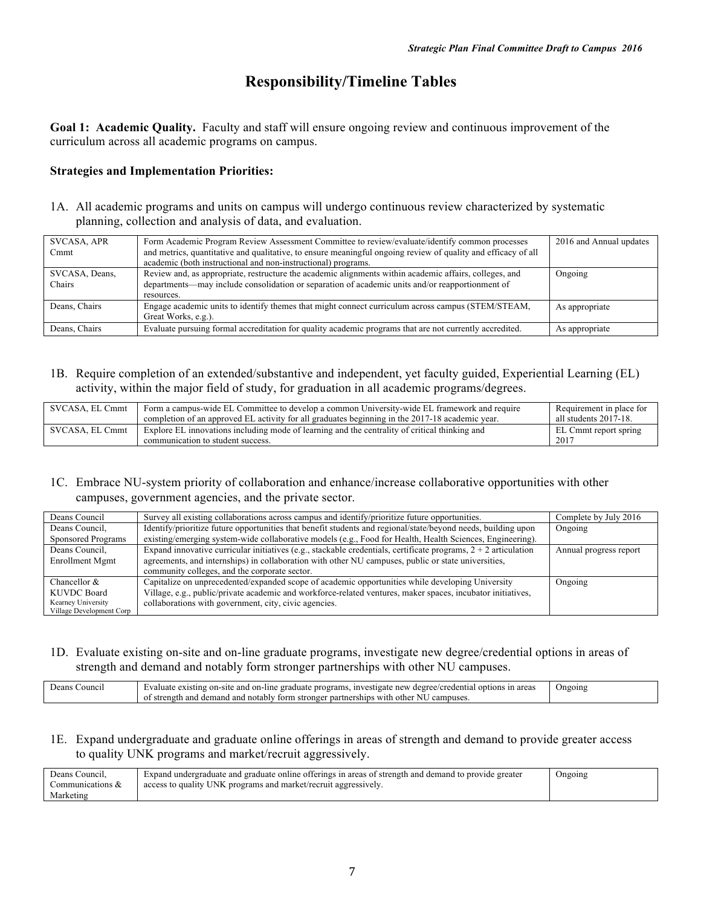# **Responsibility/Timeline Tables**

**Goal 1: Academic Quality.** Faculty and staff will ensure ongoing review and continuous improvement of the curriculum across all academic programs on campus.

#### **Strategies and Implementation Priorities:**

1A. All academic programs and units on campus will undergo continuous review characterized by systematic planning, collection and analysis of data, and evaluation.

| SVCASA, APR    | Form Academic Program Review Assessment Committee to review/evaluate/identify common processes                | 2016 and Annual updates |
|----------------|---------------------------------------------------------------------------------------------------------------|-------------------------|
| Cmmt           | and metrics, quantitative and qualitative, to ensure meaningful ongoing review of quality and efficacy of all |                         |
|                | academic (both instructional and non-instructional) programs.                                                 |                         |
| SVCASA, Deans, | Review and, as appropriate, restructure the academic alignments within academic affairs, colleges, and        | Ongoing                 |
| Chairs         | departments—may include consolidation or separation of academic units and/or reapportionment of               |                         |
|                | resources.                                                                                                    |                         |
| Deans, Chairs  | Engage academic units to identify themes that might connect curriculum across campus (STEM/STEAM,             | As appropriate          |
|                | Great Works, e.g.).                                                                                           |                         |
| Deans, Chairs  | Evaluate pursuing formal accreditation for quality academic programs that are not currently accredited.       | As appropriate          |

1B. Require completion of an extended/substantive and independent, yet faculty guided, Experiential Learning (EL) activity, within the major field of study, for graduation in all academic programs/degrees.

| SVCASA. EL Cmmt | Form a campus-wide EL Committee to develop a common University-wide EL framework and require    | Requirement in place for |
|-----------------|-------------------------------------------------------------------------------------------------|--------------------------|
|                 | completion of an approved EL activity for all graduates beginning in the 2017-18 academic year. | all students 2017-18.    |
| SVCASA. EL Cmmt | Explore EL innovations including mode of learning and the centrality of critical thinking and   | EL Cmmt report spring    |
|                 | communication to student success.                                                               | -2011                    |

# 1C. Embrace NU-system priority of collaboration and enhance/increase collaborative opportunities with other campuses, government agencies, and the private sector.

| Deans Council            | Survey all existing collaborations across campus and identify/prioritize future opportunities.                    | Complete by July 2016  |
|--------------------------|-------------------------------------------------------------------------------------------------------------------|------------------------|
| Deans Council,           | Identify/prioritize future opportunities that benefit students and regional/state/beyond needs, building upon     | Ongoing                |
| Sponsored Programs       | existing/emerging system-wide collaborative models (e.g., Food for Health, Health Sciences, Engineering).         |                        |
| Deans Council,           | Expand innovative curricular initiatives (e.g., stackable credentials, certificate programs, $2 + 2$ articulation | Annual progress report |
| Enrollment Mgmt          | agreements, and internships) in collaboration with other NU campuses, public or state universities,               |                        |
|                          | community colleges, and the corporate sector.                                                                     |                        |
| Chancellor $\&$          | Capitalize on unprecedented/expanded scope of academic opportunities while developing University                  | Ongoing                |
| <b>KUVDC Board</b>       | Village, e.g., public/private academic and workforce-related ventures, maker spaces, incubator initiatives,       |                        |
| Kearney University       | collaborations with government, city, civic agencies.                                                             |                        |
| Village Development Corp |                                                                                                                   |                        |

#### 1D. Evaluate existing on-site and on-line graduate programs, investigate new degree/credential options in areas of strength and demand and notably form stronger partnerships with other NU campuses.

| <b>INV</b><br>Ongoing<br>programs<br>area:<br>reans<br>1n<br>Counci.<br>$on-$<br>degree/credentia<br>10ns<br>on-line<br>$\alpha$<br>stigate:<br>and<br>aluate<br>∠raduate<br>-site<br>(ISHNQ<br>эхх<br>нсу<br>campuses.<br>NH<br>l demand and<br><b>XX</b><br>other<br>str<br>and<br><i>n</i> partnerships<br>with<br>uu stronger :<br>notably<br>engt<br>ΩŤ<br>torm |  |
|----------------------------------------------------------------------------------------------------------------------------------------------------------------------------------------------------------------------------------------------------------------------------------------------------------------------------------------------------------------------|--|
|----------------------------------------------------------------------------------------------------------------------------------------------------------------------------------------------------------------------------------------------------------------------------------------------------------------------------------------------------------------------|--|

#### 1E. Expand undergraduate and graduate online offerings in areas of strength and demand to provide greater access to quality UNK programs and market/recruit aggressively.

| Deans Council.   | Expand undergraduate and graduate online offerings in areas of strength and demand to provide greater | Ongoing |
|------------------|-------------------------------------------------------------------------------------------------------|---------|
| Communications & | access to quality UNK programs and market/recruit aggressively.                                       |         |
| Marketing        |                                                                                                       |         |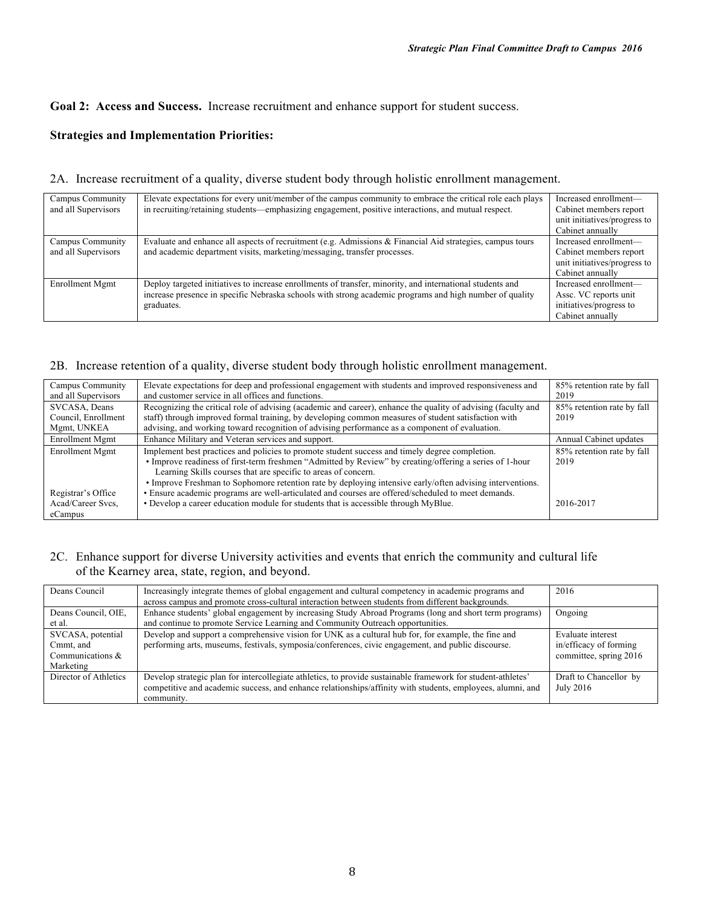# **Goal 2: Access and Success.** Increase recruitment and enhance support for student success.

# **Strategies and Implementation Priorities:**

## 2A. Increase recruitment of a quality, diverse student body through holistic enrollment management.

| Campus Community    | Elevate expectations for every unit/member of the campus community to embrace the critical role each plays | Increased enrollment—        |
|---------------------|------------------------------------------------------------------------------------------------------------|------------------------------|
| and all Supervisors | in recruiting/retaining students—emphasizing engagement, positive interactions, and mutual respect.        | Cabinet members report       |
|                     |                                                                                                            | unit initiatives/progress to |
|                     |                                                                                                            | Cabinet annually             |
| Campus Community    | Evaluate and enhance all aspects of recruitment (e.g. Admissions & Financial Aid strategies, campus tours  | Increased enrollment—        |
| and all Supervisors | and academic department visits, marketing/messaging, transfer processes.                                   | Cabinet members report       |
|                     |                                                                                                            | unit initiatives/progress to |
|                     |                                                                                                            | Cabinet annually             |
| Enrollment Mgmt     | Deploy targeted initiatives to increase enrollments of transfer, minority, and international students and  | Increased enrollment-        |
|                     | increase presence in specific Nebraska schools with strong academic programs and high number of quality    | Assc. VC reports unit        |
|                     | graduates.                                                                                                 | initiatives/progress to      |
|                     |                                                                                                            | Cabinet annually             |

# 2B. Increase retention of a quality, diverse student body through holistic enrollment management.

| Campus Community<br>and all Supervisors             | Elevate expectations for deep and professional engagement with students and improved responsiveness and<br>and customer service in all offices and functions.                                                                                                                                                                                                                          | 85% retention rate by fall<br>2019 |
|-----------------------------------------------------|----------------------------------------------------------------------------------------------------------------------------------------------------------------------------------------------------------------------------------------------------------------------------------------------------------------------------------------------------------------------------------------|------------------------------------|
| SVCASA, Deans<br>Council, Enrollment<br>Mgmt, UNKEA | Recognizing the critical role of advising (academic and career), enhance the quality of advising (faculty and<br>staff) through improved formal training, by developing common measures of student satisfaction with<br>advising, and working toward recognition of advising performance as a component of evaluation.                                                                 | 85% retention rate by fall<br>2019 |
| Enrollment Mgmt                                     | Enhance Military and Veteran services and support.                                                                                                                                                                                                                                                                                                                                     | Annual Cabinet updates             |
| Enrollment Mgmt                                     | Implement best practices and policies to promote student success and timely degree completion.<br>• Improve readiness of first-term freshmen "Admitted by Review" by creating/offering a series of 1-hour<br>Learning Skills courses that are specific to areas of concern.<br>Improve Freshman to Sophomore retention rate by deploying intensive early/often advising interventions. | 85% retention rate by fall<br>2019 |
| Registrar's Office<br>Acad/Career Svcs.<br>eCampus  | · Ensure academic programs are well-articulated and courses are offered/scheduled to meet demands.<br>• Develop a career education module for students that is accessible through MyBlue.                                                                                                                                                                                              | 2016-2017                          |

# 2C. Enhance support for diverse University activities and events that enrich the community and cultural life of the Kearney area, state, region, and beyond.

| Deans Council                                                   | Increasingly integrate themes of global engagement and cultural competency in academic programs and<br>across campus and promote cross-cultural interaction between students from different backgrounds.                                 | 2016                                                                  |
|-----------------------------------------------------------------|------------------------------------------------------------------------------------------------------------------------------------------------------------------------------------------------------------------------------------------|-----------------------------------------------------------------------|
| Deans Council, OIE,<br>et al.                                   | Enhance students' global engagement by increasing Study Abroad Programs (long and short term programs)<br>and continue to promote Service Learning and Community Outreach opportunities.                                                 | Ongoing                                                               |
| SVCASA, potential<br>Cmmt, and<br>Communications &<br>Marketing | Develop and support a comprehensive vision for UNK as a cultural hub for, for example, the fine and<br>performing arts, museums, festivals, symposia/conferences, civic engagement, and public discourse.                                | Evaluate interest<br>in/efficacy of forming<br>committee, spring 2016 |
| Director of Athletics                                           | Develop strategic plan for intercollegiate athletics, to provide sustainable framework for student-athletes'<br>competitive and academic success, and enhance relationships/affinity with students, employees, alumni, and<br>community. | Draft to Chancellor by<br><b>July 2016</b>                            |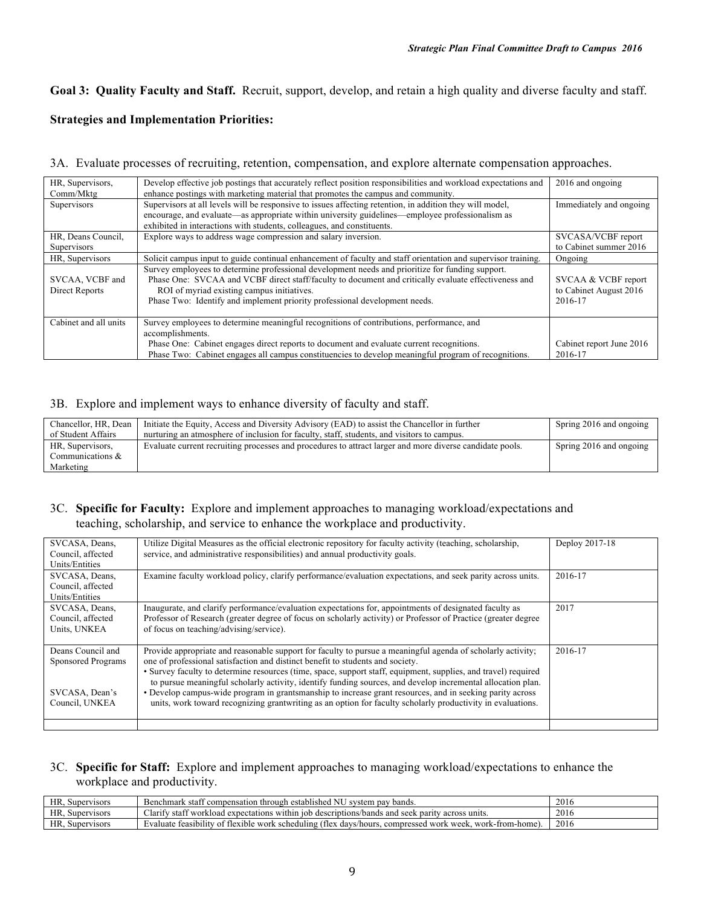**Goal 3: Quality Faculty and Staff.** Recruit, support, develop, and retain a high quality and diverse faculty and staff.

## **Strategies and Implementation Priorities:**

#### 3A. Evaluate processes of recruiting, retention, compensation, and explore alternate compensation approaches.

| HR, Supervisors,                  | Develop effective job postings that accurately reflect position responsibilities and workload expectations and                                                                                                                                                                                                                       | 2016 and ongoing                                         |
|-----------------------------------|--------------------------------------------------------------------------------------------------------------------------------------------------------------------------------------------------------------------------------------------------------------------------------------------------------------------------------------|----------------------------------------------------------|
| Comm/Mktg                         | enhance postings with marketing material that promotes the campus and community.                                                                                                                                                                                                                                                     |                                                          |
| Supervisors                       | Supervisors at all levels will be responsive to issues affecting retention, in addition they will model,                                                                                                                                                                                                                             | Immediately and ongoing                                  |
|                                   | encourage, and evaluate—as appropriate within university guidelines—employee professionalism as                                                                                                                                                                                                                                      |                                                          |
|                                   | exhibited in interactions with students, colleagues, and constituents.                                                                                                                                                                                                                                                               |                                                          |
| HR, Deans Council,                | Explore ways to address wage compression and salary inversion.                                                                                                                                                                                                                                                                       | SVCASA/VCBF report                                       |
| Supervisors                       |                                                                                                                                                                                                                                                                                                                                      | to Cabinet summer 2016                                   |
| HR, Supervisors                   | Solicit campus input to guide continual enhancement of faculty and staff orientation and supervisor training.                                                                                                                                                                                                                        | Ongoing                                                  |
| SVCAA, VCBF and<br>Direct Reports | Survey employees to determine professional development needs and prioritize for funding support.<br>Phase One: SVCAA and VCBF direct staff/faculty to document and critically evaluate effectiveness and<br>ROI of myriad existing campus initiatives.<br>Phase Two: Identify and implement priority professional development needs. | SVCAA & VCBF report<br>to Cabinet August 2016<br>2016-17 |
| Cabinet and all units             | Survey employees to determine meaningful recognitions of contributions, performance, and<br>accomplishments.                                                                                                                                                                                                                         |                                                          |
|                                   | Phase One: Cabinet engages direct reports to document and evaluate current recognitions.<br>Phase Two: Cabinet engages all campus constituencies to develop meaningful program of recognitions.                                                                                                                                      | Cabinet report June 2016<br>2016-17                      |

#### 3B. Explore and implement ways to enhance diversity of faculty and staff.

| Chancellor, HR, Dean | Initiate the Equity, Access and Diversity Advisory (EAD) to assist the Chancellor in further             | Spring 2016 and ongoing |
|----------------------|----------------------------------------------------------------------------------------------------------|-------------------------|
| of Student Affairs   | nurturing an atmosphere of inclusion for faculty, staff, students, and visitors to campus.               |                         |
| HR, Supervisors,     | Evaluate current recruiting processes and procedures to attract larger and more diverse candidate pools. | Spring 2016 and ongoing |
| Communications &     |                                                                                                          |                         |
| Marketing            |                                                                                                          |                         |

## 3C. **Specific for Faculty:** Explore and implement approaches to managing workload/expectations and teaching, scholarship, and service to enhance the workplace and productivity.

| SVCASA, Deans,<br>Council, affected | Utilize Digital Measures as the official electronic repository for faculty activity (teaching, scholarship,<br>service, and administrative responsibilities) and annual productivity goals. | Deploy 2017-18 |
|-------------------------------------|---------------------------------------------------------------------------------------------------------------------------------------------------------------------------------------------|----------------|
| Units/Entities                      |                                                                                                                                                                                             |                |
| SVCASA, Deans,                      | Examine faculty workload policy, clarify performance/evaluation expectations, and seek parity across units.                                                                                 | 2016-17        |
| Council, affected                   |                                                                                                                                                                                             |                |
| Units/Entities                      |                                                                                                                                                                                             |                |
| SVCASA, Deans,                      | Inaugurate, and clarify performance/evaluation expectations for, appointments of designated faculty as                                                                                      | 2017           |
| Council, affected                   | Professor of Research (greater degree of focus on scholarly activity) or Professor of Practice (greater degree                                                                              |                |
| Units, UNKEA                        | of focus on teaching/advising/service).                                                                                                                                                     |                |
|                                     |                                                                                                                                                                                             |                |
| Deans Council and                   | Provide appropriate and reasonable support for faculty to pursue a meaningful agenda of scholarly activity;                                                                                 | 2016-17        |
| Sponsored Programs                  | one of professional satisfaction and distinct benefit to students and society.                                                                                                              |                |
|                                     | • Survey faculty to determine resources (time, space, support staff, equipment, supplies, and travel) required                                                                              |                |
|                                     | to pursue meaningful scholarly activity, identify funding sources, and develop incremental allocation plan.                                                                                 |                |
| SVCASA, Dean's                      | • Develop campus-wide program in grantsmanship to increase grant resources, and in seeking parity across                                                                                    |                |
| Council, UNKEA                      | units, work toward recognizing grantwriting as an option for faculty scholarly productivity in evaluations.                                                                                 |                |
|                                     |                                                                                                                                                                                             |                |
|                                     |                                                                                                                                                                                             |                |

#### 3C. **Specific for Staff:** Explore and implement approaches to managing workload/expectations to enhance the workplace and productivity.

| HR.<br>Supervisors | <b>B TT</b><br>bands.<br>staf!<br>Benchmark<br>system pay<br>t compensation through established.<br>' NU                                           | 2016 |
|--------------------|----------------------------------------------------------------------------------------------------------------------------------------------------|------|
| HR.<br>Supervisors | ، iob descriptions/bands (<br>staff<br>l expectations within<br>; units<br>and s<br>: parity<br>workload<br>across<br>-larity<br>' seek            | 2016 |
| HR.<br>Supervisors | work-from-home)<br>7 of flexible.<br>work<br>week<br>e work<br>. scheduling<br>davs<br>aluate<br>compressed<br>31b111tv<br>hours<br>teas.<br>. Hey | 2016 |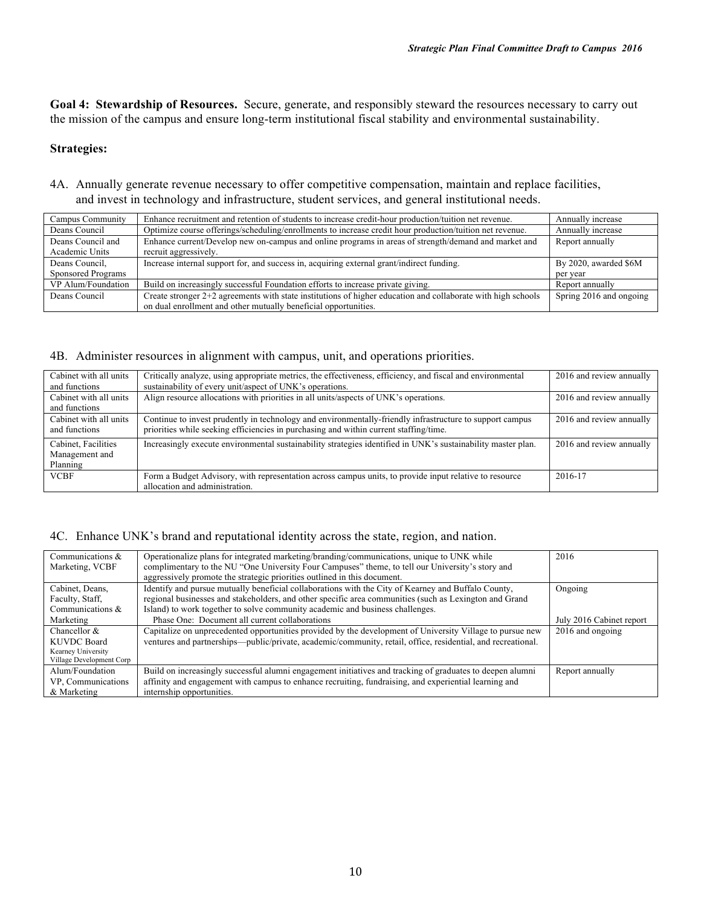**Goal 4: Stewardship of Resources.** Secure, generate, and responsibly steward the resources necessary to carry out the mission of the campus and ensure long-term institutional fiscal stability and environmental sustainability.

#### **Strategies:**

4A. Annually generate revenue necessary to offer competitive compensation, maintain and replace facilities, and invest in technology and infrastructure, student services, and general institutional needs.

| Campus Community   | Enhance recruitment and retention of students to increase credit-hour production/tuition net revenue.        | Annually increase       |
|--------------------|--------------------------------------------------------------------------------------------------------------|-------------------------|
| Deans Council      | Optimize course offerings/scheduling/enrollments to increase credit hour production/tuition net revenue.     | Annually increase       |
| Deans Council and  | Enhance current/Develop new on-campus and online programs in areas of strength/demand and market and         | Report annually         |
| Academic Units     | recruit aggressively.                                                                                        |                         |
| Deans Council.     | Increase internal support for, and success in, acquiring external grant/indirect funding.                    | By 2020, awarded \$6M   |
| Sponsored Programs |                                                                                                              | per year                |
| VP Alum/Foundation | Build on increasingly successful Foundation efforts to increase private giving.                              | Report annually         |
| Deans Council      | Create stronger 2+2 agreements with state institutions of higher education and collaborate with high schools | Spring 2016 and ongoing |
|                    | on dual enrollment and other mutually beneficial opportunities.                                              |                         |

#### 4B. Administer resources in alignment with campus, unit, and operations priorities.

| Cabinet with all units<br>and functions           | Critically analyze, using appropriate metrics, the effectiveness, efficiency, and fiscal and environmental<br>sustainability of every unit/aspect of UNK's operations.                            | 2016 and review annually |
|---------------------------------------------------|---------------------------------------------------------------------------------------------------------------------------------------------------------------------------------------------------|--------------------------|
| Cabinet with all units<br>and functions           | Align resource allocations with priorities in all units/aspects of UNK's operations.                                                                                                              | 2016 and review annually |
| Cabinet with all units<br>and functions           | Continue to invest prudently in technology and environmentally-friendly infrastructure to support campus<br>priorities while seeking efficiencies in purchasing and within current staffing/time. | 2016 and review annually |
| Cabinet, Facilities<br>Management and<br>Planning | Increasingly execute environmental sustainability strategies identified in UNK's sustainability master plan.                                                                                      | 2016 and review annually |
| <b>VCBF</b>                                       | Form a Budget Advisory, with representation across campus units, to provide input relative to resource<br>allocation and administration.                                                          | 2016-17                  |

#### 4C. Enhance UNK's brand and reputational identity across the state, region, and nation.

| Communications &<br>Marketing, VCBF                                              | Operationalize plans for integrated marketing/branding/communications, unique to UNK while<br>complimentary to the NU "One University Four Campuses" theme, to tell our University's story and<br>aggressively promote the strategic priorities outlined in this document.                     | 2016                     |
|----------------------------------------------------------------------------------|------------------------------------------------------------------------------------------------------------------------------------------------------------------------------------------------------------------------------------------------------------------------------------------------|--------------------------|
| Cabinet, Deans,<br>Faculty, Staff,<br>Communications &                           | Identify and pursue mutually beneficial collaborations with the City of Kearney and Buffalo County,<br>regional businesses and stakeholders, and other specific area communities (such as Lexington and Grand<br>Island) to work together to solve community academic and business challenges. | Ongoing                  |
| Marketing                                                                        | Phase One: Document all current collaborations                                                                                                                                                                                                                                                 | July 2016 Cabinet report |
| Chancellor $\&$<br>KUVDC Board<br>Kearney University<br>Village Development Corp | Capitalize on unprecedented opportunities provided by the development of University Village to pursue new<br>ventures and partnerships—public/private, academic/community, retail, office, residential, and recreational.                                                                      | 2016 and ongoing         |
| Alum/Foundation<br>VP, Communications<br>& Marketing                             | Build on increasingly successful alumni engagement initiatives and tracking of graduates to deepen alumni<br>affinity and engagement with campus to enhance recruiting, fundraising, and experiential learning and<br>internship opportunities.                                                | Report annually          |